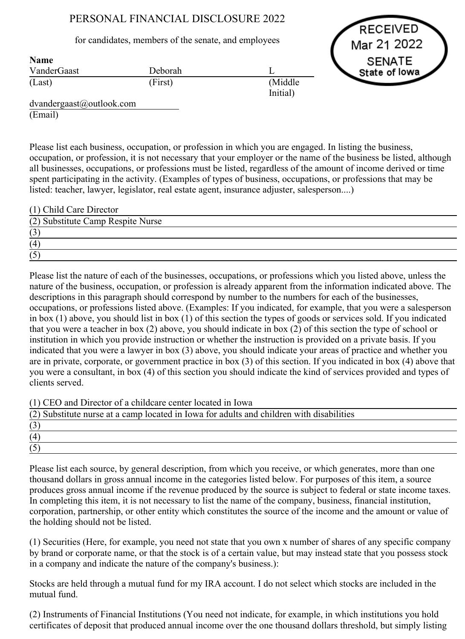## PERSONAL FINANCIAL DISCLOSURE 2022

## for candidates, members of the senate, and employees

RECEIVED Mar 21 2022 **SENATE** State of lowa

| <b>Name</b> |         |                      |
|-------------|---------|----------------------|
| VanderGaast | Deborah |                      |
| (Last)      | (First) | (Middle)<br>Initial) |

dvandergaast@outlook.com (Email)

Please list each business, occupation, or profession in which you are engaged. In listing the business, occupation, or profession, it is not necessary that your employer or the name of the business be listed, although all businesses, occupations, or professions must be listed, regardless of the amount of income derived or time spent participating in the activity. (Examples of types of business, occupations, or professions that may be listed: teacher, lawyer, legislator, real estate agent, insurance adjuster, salesperson....)

| (1) Child Care Director           |  |
|-----------------------------------|--|
| (2) Substitute Camp Respite Nurse |  |
| (3)                               |  |
| (4)                               |  |
| (5)                               |  |

Please list the nature of each of the businesses, occupations, or professions which you listed above, unless the nature of the business, occupation, or profession is already apparent from the information indicated above. The descriptions in this paragraph should correspond by number to the numbers for each of the businesses, occupations, or professions listed above. (Examples: If you indicated, for example, that you were a salesperson in box (1) above, you should list in box (1) of this section the types of goods or services sold. If you indicated that you were a teacher in box (2) above, you should indicate in box (2) of this section the type of school or institution in which you provide instruction or whether the instruction is provided on a private basis. If you indicated that you were a lawyer in box (3) above, you should indicate your areas of practice and whether you are in private, corporate, or government practice in box (3) of this section. If you indicated in box (4) above that you were a consultant, in box (4) of this section you should indicate the kind of services provided and types of clients served.

(1) CEO and Director of a childcare center located in Iowa

| (2) Substitute nurse at a camp located in Iowa for adults and children with disabilities |  |
|------------------------------------------------------------------------------------------|--|
| (3)                                                                                      |  |
| (4)                                                                                      |  |
|                                                                                          |  |

Please list each source, by general description, from which you receive, or which generates, more than one thousand dollars in gross annual income in the categories listed below. For purposes of this item, a source produces gross annual income if the revenue produced by the source is subject to federal or state income taxes. In completing this item, it is not necessary to list the name of the company, business, financial institution, corporation, partnership, or other entity which constitutes the source of the income and the amount or value of the holding should not be listed.

(1) Securities (Here, for example, you need not state that you own x number of shares of any specific company by brand or corporate name, or that the stock is of a certain value, but may instead state that you possess stock in a company and indicate the nature of the company's business.):

Stocks are held through a mutual fund for my IRA account. I do not select which stocks are included in the mutual fund.

(2) Instruments of Financial Institutions (You need not indicate, for example, in which institutions you hold certificates of deposit that produced annual income over the one thousand dollars threshold, but simply listing